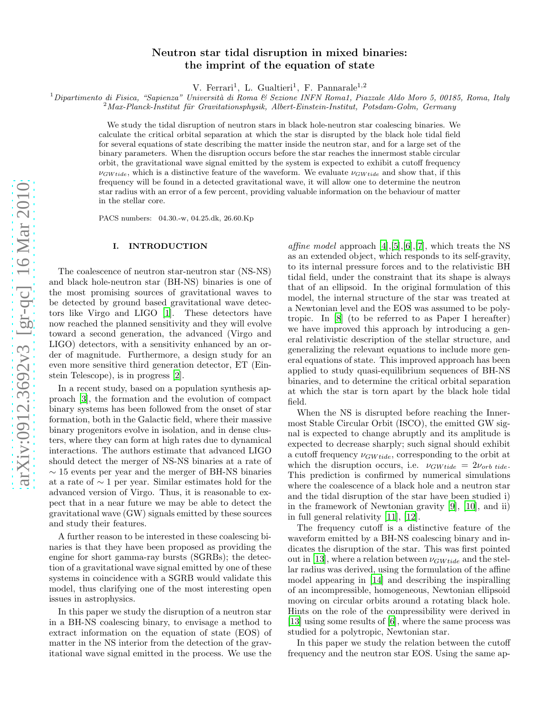# Neutron star tidal disruption in mixed binaries: the imprint of the equation of state

V. Ferrari<sup>1</sup>, L. Gualtieri<sup>1</sup>, F. Pannarale<sup>1,2</sup>

 $1$ Dipartimento di Fisica, "Sapienza" Università di Roma & Sezione INFN Roma1, Piazzale Aldo Moro 5, 00185, Roma, Italy  $2$ Max-Planck-Institut für Gravitationsphysik, Albert-Einstein-Institut, Potsdam-Golm, Germany

We study the tidal disruption of neutron stars in black hole-neutron star coalescing binaries. We calculate the critical orbital separation at which the star is disrupted by the black hole tidal field for several equations of state describing the matter inside the neutron star, and for a large set of the binary parameters. When the disruption occurs before the star reaches the innermost stable circular orbit, the gravitational wave signal emitted by the system is expected to exhibit a cutoff frequency  $\nu_{GW tide}$ , which is a distinctive feature of the waveform. We evaluate  $\nu_{GW tide}$  and show that, if this frequency will be found in a detected gravitational wave, it will allow one to determine the neutron star radius with an error of a few percent, providing valuable information on the behaviour of matter in the stellar core.

PACS numbers: 04.30.-w, 04.25.dk, 26.60.Kp

### I. INTRODUCTION

The coalescence of neutron star-neutron star (NS-NS) and black hole-neutron star (BH-NS) binaries is one of the most promising sources of gravitational waves to be detected by ground based gravitational wave detectors like Virgo and LIGO [\[1\]](#page-10-0). These detectors have now reached the planned sensitivity and they will evolve toward a second generation, the advanced (Virgo and LIGO) detectors, with a sensitivity enhanced by an order of magnitude. Furthermore, a design study for an even more sensitive third generation detector, ET (Einstein Telescope), is in progress [\[2\]](#page-10-1).

In a recent study, based on a population synthesis approach [\[3\]](#page-10-2), the formation and the evolution of compact binary systems has been followed from the onset of star formation, both in the Galactic field, where their massive binary progenitors evolve in isolation, and in dense clusters, where they can form at high rates due to dynamical interactions. The authors estimate that advanced LIGO should detect the merger of NS-NS binaries at a rate of  $\sim$  15 events per year and the merger of BH-NS binaries at a rate of  $\sim$  1 per year. Similar estimates hold for the advanced version of Virgo. Thus, it is reasonable to expect that in a near future we may be able to detect the gravitational wave (GW) signals emitted by these sources and study their features.

A further reason to be interested in these coalescing binaries is that they have been proposed as providing the engine for short gamma-ray bursts (SGRBs); the detection of a gravitational wave signal emitted by one of these systems in coincidence with a SGRB would validate this model, thus clarifying one of the most interesting open issues in astrophysics.

In this paper we study the disruption of a neutron star in a BH-NS coalescing binary, to envisage a method to extract information on the equation of state (EOS) of matter in the NS interior from the detection of the gravitational wave signal emitted in the process. We use the

*affine model* approach  $[4]$ ,  $[5]$ ,  $[6]$ ,  $[7]$  $[7]$ , which treats the NS as an extended object, which responds to its self-gravity, to its internal pressure forces and to the relativistic BH tidal field, under the constraint that its shape is always that of an ellipsoid. In the original formulation of this model, the internal structure of the star was treated at a Newtonian level and the EOS was assumed to be polytropic. In [\[8\]](#page-10-7) (to be referred to as Paper I hereafter) we have improved this approach by introducing a general relativistic description of the stellar structure, and generalizing the relevant equations to include more general equations of state. This improved approach has been applied to study quasi-equilibrium sequences of BH-NS binaries, and to determine the critical orbital separation at which the star is torn apart by the black hole tidal field.

When the NS is disrupted before reaching the Innermost Stable Circular Orbit (ISCO), the emitted GW signal is expected to change abruptly and its amplitude is expected to decrease sharply; such signal should exhibit a cutoff frequency  $\nu_{GW tide}$ , corresponding to the orbit at which the disruption occurs, i.e.  $\nu_{GW tide} = 2\nu_{orb\ tide}$ . This prediction is confirmed by numerical simulations where the coalescence of a black hole and a neutron star and the tidal disruption of the star have been studied i) in the framework of Newtonian gravity [\[9\]](#page-10-8), [\[10](#page-10-9)], and ii) in full general relativity [\[11](#page-10-10)], [\[12\]](#page-10-11).

The frequency cutoff is a distinctive feature of the waveform emitted by a BH-NS coalescing binary and indicates the disruption of the star. This was first pointed out in [\[13](#page-10-12)], where a relation between  $\nu_{GW tide}$  and the stellar radius was derived, using the formulation of the affine model appearing in [\[14](#page-10-13)] and describing the inspiralling of an incompressible, homogeneous, Newtonian ellipsoid moving on circular orbits around a rotating black hole. Hints on the role of the compressibility were derived in [\[13\]](#page-10-12) using some results of [\[6\]](#page-10-5), where the same process was studied for a polytropic, Newtonian star.

In this paper we study the relation between the cutoff frequency and the neutron star EOS. Using the same ap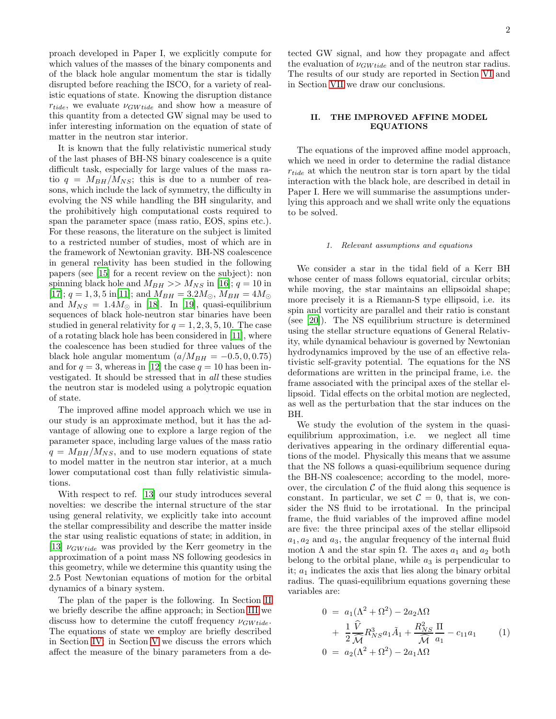proach developed in Paper I, we explicitly compute for which values of the masses of the binary components and of the black hole angular momentum the star is tidally disrupted before reaching the ISCO, for a variety of realistic equations of state. Knowing the disruption distance  $r_{tide}$ , we evaluate  $\nu_{GW tide}$  and show how a measure of this quantity from a detected GW signal may be used to infer interesting information on the equation of state of matter in the neutron star interior.

It is known that the fully relativistic numerical study of the last phases of BH-NS binary coalescence is a quite difficult task, especially for large values of the mass ratio  $q = M_{BH}/M_{NS}$ ; this is due to a number of reasons, which include the lack of symmetry, the difficulty in evolving the NS while handling the BH singularity, and the prohibitively high computational costs required to span the parameter space (mass ratio, EOS, spins etc.). For these reasons, the literature on the subject is limited to a restricted number of studies, most of which are in the framework of Newtonian gravity. BH-NS coalescence in general relativity has been studied in the following papers (see [\[15\]](#page-10-14) for a recent review on the subject): non spinning black hole and  $M_{BH} >> M_{NS}$  in [\[16\]](#page-10-15);  $q = 10$  in [\[17\]](#page-10-16);  $q = 1, 3, 5$  in[\[11](#page-10-10)]; and  $M_{BH} = 3.2 M_{\odot}$ ,  $M_{BH} = 4 M_{\odot}$ and  $M_{NS} = 1.4 M_{\odot}$  in [\[18\]](#page-10-17). In [\[19](#page-10-18)], quasi-equilibrium sequences of black hole-neutron star binaries have been studied in general relativity for  $q = 1, 2, 3, 5, 10$ . The case of a rotating black hole has been considered in [\[11\]](#page-10-10), where the coalescence has been studied for three values of the black hole angular momentum  $(a/M_{BH} = -0.5, 0, 0.75)$ and for  $q = 3$ , whereas in [\[12\]](#page-10-11) the case  $q = 10$  has been investigated. It should be stressed that in all these studies the neutron star is modeled using a polytropic equation of state.

The improved affine model approach which we use in our study is an approximate method, but it has the advantage of allowing one to explore a large region of the parameter space, including large values of the mass ratio  $q = M_{BH}/M_{NS}$ , and to use modern equations of state to model matter in the neutron star interior, at a much lower computational cost than fully relativistic simulations.

With respect to ref. [\[13\]](#page-10-12) our study introduces several novelties: we describe the internal structure of the star using general relativity, we explicitly take into account the stellar compressibility and describe the matter inside the star using realistic equations of state; in addition, in [\[13\]](#page-10-12)  $\nu_{GW tide}$  was provided by the Kerr geometry in the approximation of a point mass NS following geodesics in this geometry, while we determine this quantity using the 2.5 Post Newtonian equations of motion for the orbital dynamics of a binary system.

The plan of the paper is the following. In Section [II](#page-1-0) we briefly describe the affine approach; in Section [III](#page-3-0) we discuss how to determine the cutoff frequency  $\nu_GW_{tide}$ . The equations of state we employ are briefly described in Section [IV;](#page-4-0) in Section [V](#page-5-0) we discuss the errors which affect the measure of the binary parameters from a de-

tected GW signal, and how they propagate and affect the evaluation of  $\nu_{GW tide}$  and of the neutron star radius. The results of our study are reported in Section [VI](#page-6-0) and in Section [VII](#page-10-19) we draw our conclusions.

### <span id="page-1-0"></span>II. THE IMPROVED AFFINE MODEL EQUATIONS

The equations of the improved affine model approach, which we need in order to determine the radial distance  $r_{tide}$  at which the neutron star is torn apart by the tidal interaction with the black hole, are described in detail in Paper I. Here we will summarise the assumptions underlying this approach and we shall write only the equations to be solved.

### 1. Relevant assumptions and equations

We consider a star in the tidal field of a Kerr BH whose center of mass follows equatorial, circular orbits; while moving, the star maintains an ellipsoidal shape; more precisely it is a Riemann-S type ellipsoid, i.e. its spin and vorticity are parallel and their ratio is constant (see [\[20\]](#page-10-20)). The NS equilibrium structure is determined using the stellar structure equations of General Relativity, while dynamical behaviour is governed by Newtonian hydrodynamics improved by the use of an effective relativistic self-gravity potential. The equations for the NS deformations are written in the principal frame, i.e. the frame associated with the principal axes of the stellar ellipsoid. Tidal effects on the orbital motion are neglected, as well as the perturbation that the star induces on the BH.

We study the evolution of the system in the quasiequilibrium approximation, i.e. we neglect all time derivatives appearing in the ordinary differential equations of the model. Physically this means that we assume that the NS follows a quasi-equilibrium sequence during the BH-NS coalescence; according to the model, moreover, the circulation  $\mathcal C$  of the fluid along this sequence is constant. In particular, we set  $\mathcal{C} = 0$ , that is, we consider the NS fluid to be irrotational. In the principal frame, the fluid variables of the improved affine model are five: the three principal axes of the stellar ellipsoid  $a_1, a_2$  and  $a_3$ , the angular frequency of the internal fluid motion  $\Lambda$  and the star spin  $\Omega$ . The axes  $a_1$  and  $a_2$  both belong to the orbital plane, while  $a_3$  is perpendicular to it;  $a_1$  indicates the axis that lies along the binary orbital radius. The quasi-equilibrium equations governing these variables are:

<span id="page-1-1"></span>
$$
0 = a_1(\Lambda^2 + \Omega^2) - 2a_2\Lambda\Omega + \frac{1}{2}\frac{\hat{V}}{\widehat{\mathcal{M}}}R_{NS}^3a_1\tilde{A}_1 + \frac{R_{NS}^2}{\widehat{\mathcal{M}}} \frac{\Pi}{a_1} - c_{11}a_1
$$
 (1)  

$$
0 = a_2(\Lambda^2 + \Omega^2) - 2a_1\Lambda\Omega
$$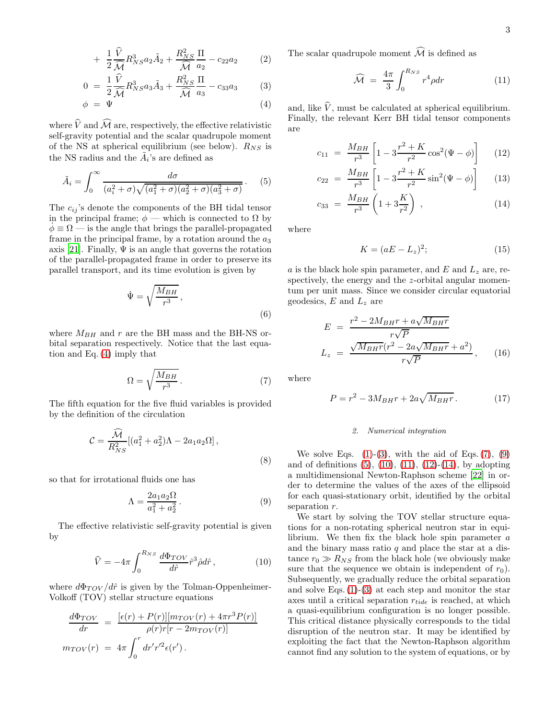$$
+\frac{1}{2}\frac{\widehat{V}}{\widehat{\mathcal{M}}}\widehat{R}_{NS}^{3}a_2\widetilde{A}_2+\frac{R_{NS}^2}{\widehat{\mathcal{M}}}\frac{\Pi}{a_2}-c_{22}a_2\qquad \quad (2)
$$

$$
0 = \frac{1}{2} \frac{\widehat{V}}{\widehat{\mathcal{M}}} R_{NS}^3 a_3 \widetilde{A}_3 + \frac{R_{NS}^2}{\widehat{\mathcal{M}}} \frac{\Pi}{a_3} - c_{33} a_3 \tag{3}
$$

$$
\phi = \Psi \tag{4}
$$

where  $\widehat{V}$  and  $\widehat{\mathcal{M}}$  are, respectively, the effective relativistic self-gravity potential and the scalar quadrupole moment of the NS at spherical equilibrium (see below).  $R_{NS}$  is the NS radius and the  $\tilde{A}_i$ 's are defined as

<span id="page-2-2"></span>
$$
\tilde{A}_i = \int_0^\infty \frac{d\sigma}{(a_i^2 + \sigma)\sqrt{(a_1^2 + \sigma)(a_2^2 + \sigma)(a_3^2 + \sigma)}}.
$$
 (5)

The  $c_{ij}$ 's denote the components of the BH tidal tensor in the principal frame;  $\phi$  — which is connected to  $\Omega$  by  $\phi \equiv \Omega$  — is the angle that brings the parallel-propagated frame in the principal frame, by a rotation around the  $a_3$ axis [\[21\]](#page-10-21). Finally,  $\Psi$  is an angle that governs the rotation of the parallel-propagated frame in order to preserve its parallel transport, and its time evolution is given by

$$
\dot{\Psi} = \sqrt{\frac{M_{BH}}{r^3}}\,,\tag{6}
$$

where  $M_{BH}$  and r are the BH mass and the BH-NS orbital separation respectively. Notice that the last equation and Eq. [\(4\)](#page-1-1) imply that

<span id="page-2-0"></span>
$$
\Omega = \sqrt{\frac{M_{BH}}{r^3}}\,. \tag{7}
$$

The fifth equation for the five fluid variables is provided by the definition of the circulation

$$
\mathcal{C} = \frac{\widehat{\mathcal{M}}}{R_{NS}^2} \left[ (a_1^2 + a_2^2) \Lambda - 2a_1 a_2 \Omega \right],\tag{8}
$$

so that for irrotational fluids one has

<span id="page-2-1"></span>
$$
\Lambda = \frac{2a_1a_2\Omega}{a_1^2 + a_2^2} \,. \tag{9}
$$

The effective relativistic self-gravity potential is given by

<span id="page-2-3"></span>
$$
\hat{V} = -4\pi \int_0^{R_{NS}} \frac{d\Phi_{TOV}}{d\hat{r}} \hat{r}^3 \hat{\rho} d\hat{r}, \qquad (10)
$$

where  $d\Phi_{TOV}/d\hat{r}$  is given by the Tolman-Oppenheimer-Volkoff (TOV) stellar structure equations

$$
\frac{d\Phi_{TOV}}{dr} = \frac{[\epsilon(r) + P(r)][m_{TOV}(r) + 4\pi r^3 P(r)]}{\rho(r)r[r - 2m_{TOV}(r)]}
$$

$$
m_{TOV}(r) = 4\pi \int_0^r dr' r'^2 \epsilon(r').
$$

The scalar quadrupole moment  $\widehat{\mathcal{M}}$  is defined as

<span id="page-2-4"></span>
$$
\widehat{\mathcal{M}} = \frac{4\pi}{3} \int_0^{R_{NS}} r^4 \rho dr \tag{11}
$$

and, like  $\hat{V}$ , must be calculated at spherical equilibrium. Finally, the relevant Kerr BH tidal tensor components are

<span id="page-2-5"></span>
$$
c_{11} = \frac{M_{BH}}{r^3} \left[ 1 - 3 \frac{r^2 + K}{r^2} \cos^2(\Psi - \phi) \right] \tag{12}
$$

$$
c_{22} = \frac{M_{BH}}{r^3} \left[ 1 - 3 \frac{r^2 + K}{r^2} \sin^2(\Psi - \phi) \right] \tag{13}
$$

$$
c_{33} = \frac{M_{BH}}{r^3} \left( 1 + 3\frac{K}{r^2} \right) , \qquad (14)
$$

where

$$
K = (aE - L_z)^2; \tag{15}
$$

a is the black hole spin parameter, and  $E$  and  $L_z$  are, respectively, the energy and the z-orbital angular momentum per unit mass. Since we consider circular equatorial geodesics, E and  $L_z$  are

$$
E = \frac{r^2 - 2M_{BH}r + a\sqrt{M_{BH}r}}{r\sqrt{P}}
$$

$$
L_z = \frac{\sqrt{M_{BH}r}(r^2 - 2a\sqrt{M_{BH}r} + a^2)}{r\sqrt{P}}, \qquad (16)
$$

where

$$
P = r^2 - 3M_{BH}r + 2a\sqrt{M_{BH}r}.
$$
 (17)

#### <span id="page-2-6"></span>2. Numerical integration

We solve Eqs.  $(1)-(3)$  $(1)-(3)$ , with the aid of Eqs.  $(7)$ ,  $(9)$ and of definitions  $(5)$ ,  $(10)$ ,  $(11)$ ,  $(12)-(14)$  $(12)-(14)$ , by adopting a multidimensional Newton-Raphson scheme [\[22\]](#page-10-22) in order to determine the values of the axes of the ellipsoid for each quasi-stationary orbit, identified by the orbital separation  $r$ .

We start by solving the TOV stellar structure equations for a non-rotating spherical neutron star in equilibrium. We then fix the black hole spin parameter  $a$ and the binary mass ratio  $q$  and place the star at a distance  $r_0 \gg R_{NS}$  from the black hole (we obviously make sure that the sequence we obtain is independent of  $r_0$ ). Subsequently, we gradually reduce the orbital separation and solve Eqs.  $(1)-(3)$  $(1)-(3)$  at each step and monitor the star axes until a critical separation  $r_{tide}$  is reached, at which a quasi-equilibrium configuration is no longer possible. This critical distance physically corresponds to the tidal disruption of the neutron star. It may be identified by exploiting the fact that the Newton-Raphson algorithm cannot find any solution to the system of equations, or by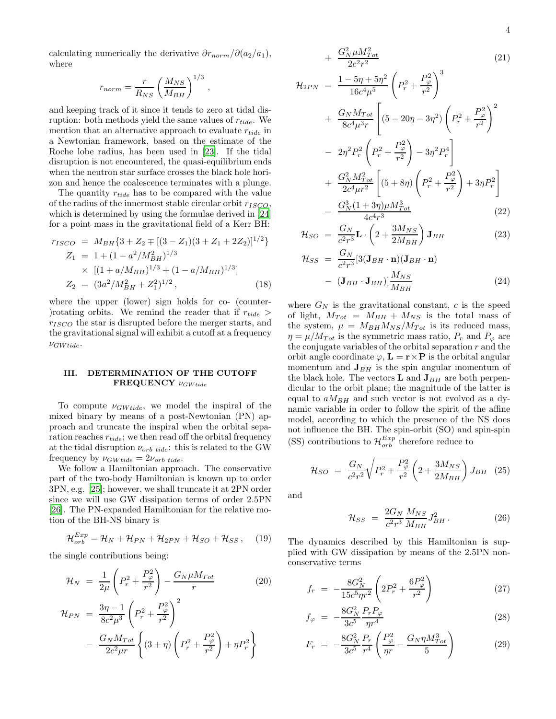calculating numerically the derivative  $\partial r_{norm}/\partial (a_2/a_1)$ , where

$$
r_{norm} = \frac{r}{R_{NS}} \left(\frac{M_{NS}}{M_{BH}}\right)^{1/3} \,,
$$

and keeping track of it since it tends to zero at tidal disruption: both methods yield the same values of  $r_{tide}$ . We mention that an alternative approach to evaluate  $r_{tide}$  in a Newtonian framework, based on the estimate of the Roche lobe radius, has been used in [\[23\]](#page-10-23). If the tidal disruption is not encountered, the quasi-equilibrium ends when the neutron star surface crosses the black hole horizon and hence the coalescence terminates with a plunge.

The quantity  $r_{tide}$  has to be compared with the value of the radius of the innermost stable circular orbit  $r_{ISCO}$ , which is determined by using the formulae derived in [\[24](#page-10-24)] for a point mass in the gravitational field of a Kerr BH:

<span id="page-3-1"></span>
$$
r_{ISCO} = M_{BH} \{3 + Z_2 \mp [(3 - Z_1)(3 + Z_1 + 2Z_2)]^{1/2}\}
$$
  
\n
$$
Z_1 = 1 + (1 - a^2/M_{BH}^2)^{1/3}
$$
  
\n
$$
\times [(1 + a/M_{BH})^{1/3} + (1 - a/M_{BH})^{1/3}]
$$
  
\n
$$
Z_2 = (3a^2/M_{BH}^2 + Z_1^2)^{1/2},
$$
\n(18)

where the upper (lower) sign holds for co- (counter-)rotating orbits. We remind the reader that if  $r_{tide} >$  $r_{ISCO}$  the star is disrupted before the merger starts, and the gravitational signal will exhibit a cutoff at a frequency  $\nu$ GW tide.

# <span id="page-3-0"></span>III. DETERMINATION OF THE CUTOFF FREQUENCY  $ν_{GW tide}$

To compute  $\nu_{GW tide}$ , we model the inspiral of the mixed binary by means of a post-Newtonian (PN) approach and truncate the inspiral when the orbital separation reaches  $r_{tide}$ ; we then read off the orbital frequency at the tidal disruption  $\nu_{orb~tide}$ : this is related to the GW frequency by  $\nu_{GW tide} = 2\nu_{orb\ tide}$ .

We follow a Hamiltonian approach. The conservative part of the two-body Hamiltonian is known up to order 3PN, e.g. [\[25](#page-10-25)]; however, we shall truncate it at 2PN order since we will use GW dissipation terms of order 2.5PN [\[26\]](#page-10-26). The PN-expanded Hamiltonian for the relative motion of the BH-NS binary is

$$
\mathcal{H}_{orb}^{Exp} = \mathcal{H}_N + \mathcal{H}_{PN} + \mathcal{H}_{2PN} + \mathcal{H}_{SO} + \mathcal{H}_{SS}, \quad (19)
$$

the single contributions being:

 $\mathbf{E}$ 

$$
\mathcal{H}_N = \frac{1}{2\mu} \left( P_r^2 + \frac{P_\varphi^2}{r^2} \right) - \frac{G_N \mu M_{Tot}}{r} \tag{20}
$$

$$
\mathcal{H}_{PN} = \frac{3\eta - 1}{8c^2\mu^3} \left( P_r^2 + \frac{P_\varphi^2}{r^2} \right)^2 \n- \frac{G_N M_{Tot}}{2c^2\mu r} \left\{ (3 + \eta) \left( P_r^2 + \frac{P_\varphi^2}{r^2} \right) + \eta P_r^2 \right\}
$$

$$
\frac{G_N^2 \mu M_{Tot}^2}{2c^2 r^2} \tag{21}
$$

$$
\mathcal{H}_{2PN} = \frac{1 - 5\eta + 5\eta^2}{16c^4\mu^5} \left( P_r^2 + \frac{P_\varphi^2}{r^2} \right)^3 \n+ \frac{G_N M_{Tot}}{8c^4\mu^3 r} \left[ (5 - 20\eta - 3\eta^2) \left( P_r^2 + \frac{P_\varphi^2}{r^2} \right)^2 \n- 2\eta^2 P_r^2 \left( P_r^2 + \frac{P_\varphi^2}{r^2} \right) - 3\eta^2 P_r^4 \right] \n+ \frac{G_N^2 M_{Tot}^2}{2c^4\mu r^2} \left[ (5 + 8\eta) \left( P_r^2 + \frac{P_\varphi^2}{r^2} \right) + 3\eta P_r^2 \right] \n- \frac{G_N^3 (1 + 3\eta)\mu M_{Tot}^3}{4c^4r^3} \tag{22}
$$

+

$$
\mathcal{H}_{SO} = \frac{G_N}{c^2 r^3} \mathbf{L} \cdot \left( 2 + \frac{3M_{NS}}{2M_{BH}} \right) \mathbf{J}_{BH}
$$
\n(23)

$$
\mathcal{H}_{SS} = \frac{G_N}{c^2 r^3} [3(\mathbf{J}_{BH} \cdot \mathbf{n})(\mathbf{J}_{BH} \cdot \mathbf{n})
$$

$$
- (\mathbf{J}_{BH} \cdot \mathbf{J}_{BH})] \frac{M_{NS}}{M_{BH}}
$$
(24)

where  $G_N$  is the gravitational constant, c is the speed of light,  $M_{Tot} = M_{BH} + M_{NS}$  is the total mass of the system,  $\mu = M_{BH} M_{NS} / M_{Tot}$  is its reduced mass,  $\eta = \mu / M_{Tot}$  is the symmetric mass ratio,  $P_r$  and  $P_\varphi$  are the conjugate variables of the orbital separation  $r$  and the orbit angle coordinate  $\varphi$ ,  $\mathbf{L} = \mathbf{r} \times \mathbf{P}$  is the orbital angular momentum and  $J_{BH}$  is the spin angular momentum of the black hole. The vectors **L** and  $\mathbf{J}_{BH}$  are both perpendicular to the orbit plane; the magnitude of the latter is equal to  $aM_{BH}$  and such vector is not evolved as a dynamic variable in order to follow the spirit of the affine model, according to which the presence of the NS does not influence the BH. The spin-orbit (SO) and spin-spin (SS) contributions to  $\mathcal{H}_{orb}^{Exp}$  therefore reduce to

$$
\mathcal{H}_{SO} = \frac{G_N}{c^2 r^2} \sqrt{P_r^2 + \frac{P_\varphi^2}{r^2}} \left(2 + \frac{3M_{NS}}{2M_{BH}}\right) J_{BH} \quad (25)
$$

and

$$
\mathcal{H}_{SS} = \frac{2G_N}{c^2 r^3} \frac{M_{NS}}{M_{BH}} J_{BH}^2. \tag{26}
$$

The dynamics described by this Hamiltonian is supplied with GW dissipation by means of the 2.5PN nonconservative terms

$$
f_r = -\frac{8G_N^2}{15c^5\eta r^2} \left( 2P_r^2 + \frac{6P_\varphi^2}{r^2} \right) \tag{27}
$$

$$
f_{\varphi} = -\frac{8G_N^2}{3c^5} \frac{P_r P_{\varphi}}{\eta r^4} \tag{28}
$$

$$
F_r = -\frac{8G_N^2}{3c^5} \frac{P_r}{r^4} \left( \frac{P_\varphi^2}{\eta r} - \frac{G_N \eta M_{Tot}^3}{5} \right) \tag{29}
$$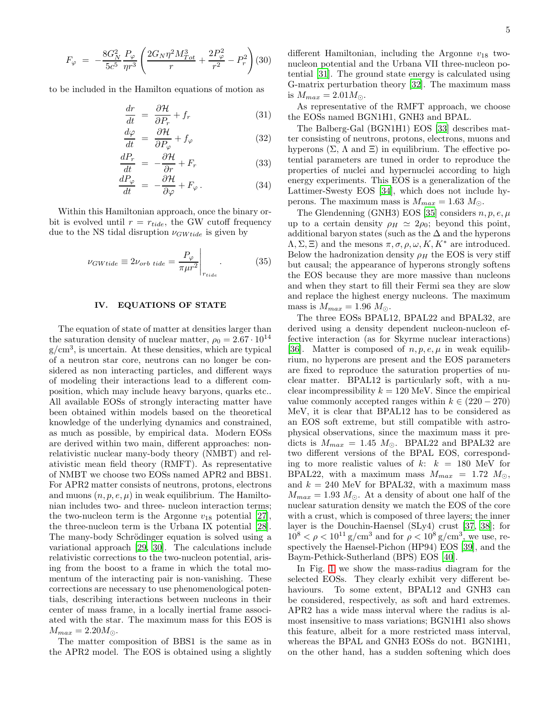$$
F_{\varphi} = -\frac{8G_N^2}{5c^5} \frac{P_{\varphi}}{\eta r^3} \left( \frac{2G_N \eta^2 M_{Tot}^3}{r} + \frac{2P_{\varphi}^2}{r^2} - P_r^2 \right) (30)
$$

to be included in the Hamilton equations of motion as

$$
\frac{dr}{dt} = \frac{\partial \mathcal{H}}{\partial P_r} + f_r \tag{31}
$$

$$
\frac{d\varphi}{dt} = \frac{\partial \mathcal{H}}{\partial P_{\varphi}} + f_{\varphi} \tag{32}
$$

$$
\frac{dP_r}{dt} = -\frac{\partial \mathcal{H}}{\partial r} + F_r \tag{33}
$$

$$
\frac{dP_{\varphi}}{dt} = -\frac{\partial \mathcal{H}}{\partial \varphi} + F_{\varphi}.
$$
 (34)

Within this Hamiltonian approach, once the binary orbit is evolved until  $r = r_{tide}$ , the GW cutoff frequency due to the NS tidal disruption  $\nu_{GW tide}$  is given by

$$
\nu_{GWtide} \equiv 2\nu_{orb\,\, tide} = \frac{P_{\varphi}}{\pi\mu r^2}\Big|_{r_{tide}}.\tag{35}
$$

# <span id="page-4-0"></span>IV. EQUATIONS OF STATE

The equation of state of matter at densities larger than the saturation density of nuclear matter,  $\rho_0 = 2.67 \cdot 10^{14}$ g/cm<sup>3</sup> , is uncertain. At these densities, which are typical of a neutron star core, neutrons can no longer be considered as non interacting particles, and different ways of modeling their interactions lead to a different composition, which may include heavy baryons, quarks etc.. All available EOSs of strongly interacting matter have been obtained within models based on the theoretical knowledge of the underlying dynamics and constrained, as much as possible, by empirical data. Modern EOSs are derived within two main, different approaches: nonrelativistic nuclear many-body theory (NMBT) and relativistic mean field theory (RMFT). As representative of NMBT we choose two EOSs named APR2 and BBS1. For APR2 matter consists of neutrons, protons, electrons and muons  $(n, p, e, \mu)$  in weak equilibrium. The Hamiltonian includes two- and three- nucleon interaction terms; the two-nucleon term is the Argonne  $v_{18}$  potential [\[27\]](#page-10-27), the three-nucleon term is the Urbana IX potential [\[28\]](#page-10-28). The many-body Schrödinger equation is solved using a variational approach [\[29](#page-10-29), [30](#page-10-30)]. The calculations include relativistic corrections to the two-nucleon potential, arising from the boost to a frame in which the total momentum of the interacting pair is non-vanishing. These corrections are necessary to use phenomenological potentials, describing interactions between nucleons in their center of mass frame, in a locally inertial frame associated with the star. The maximum mass for this EOS is  $M_{max} = 2.20 M_{\odot}.$ 

The matter composition of BBS1 is the same as in the APR2 model. The EOS is obtained using a slightly different Hamiltonian, including the Argonne  $v_{18}$  twonucleon potential and the Urbana VII three-nucleon potential [\[31](#page-10-31)]. The ground state energy is calculated using G-matrix perturbation theory [\[32\]](#page-10-32). The maximum mass is  $M_{max} = 2.01 M_{\odot}$ .

As representative of the RMFT approach, we choose the EOSs named BGN1H1, GNH3 and BPAL.

The Balberg-Gal (BGN1H1) EOS [\[33](#page-10-33)] describes matter consisting of neutrons, protons, electrons, muons and hyperons  $(\Sigma, \Lambda \text{ and } \Xi)$  in equilibrium. The effective potential parameters are tuned in order to reproduce the properties of nuclei and hypernuclei according to high energy experiments. This EOS is a generalization of the Lattimer-Swesty EOS [\[34](#page-10-34)], which does not include hyperons. The maximum mass is  $M_{max} = 1.63 M_{\odot}$ .

The Glendenning (GNH3) EOS [\[35](#page-10-35)] considers  $n, p, e, \mu$ up to a certain density  $\rho_H \simeq 2\rho_0$ ; beyond this point, additional baryon states (such as the  $\Delta$  and the hyperons  $(\Lambda, \Sigma, \Xi)$  and the mesons  $\pi, \sigma, \rho, \omega, K, K^*$  are introduced. Below the hadronization density  $\rho_H$  the EOS is very stiff but causal; the appearance of hyperons strongly softens the EOS because they are more massive than nucleons and when they start to fill their Fermi sea they are slow and replace the highest energy nucleons. The maximum mass is  $M_{max} = 1.96 M_{\odot}$ .

The three EOSs BPAL12, BPAL22 and BPAL32, are derived using a density dependent nucleon-nucleon effective interaction (as for Skyrme nuclear interactions) [\[36\]](#page-10-36). Matter is composed of  $n, p, e, \mu$  in weak equilibrium, no hyperons are present and the EOS parameters are fixed to reproduce the saturation properties of nuclear matter. BPAL12 is particularly soft, with a nuclear incompressibility  $k = 120$  MeV. Since the empirical value commonly accepted ranges within  $k \in (220 - 270)$ MeV, it is clear that BPAL12 has to be considered as an EOS soft extreme, but still compatible with astrophysical observations, since the maximum mass it predicts is  $M_{max} = 1.45 M_{\odot}$ . BPAL22 and BPAL32 are two different versions of the BPAL EOS, corresponding to more realistic values of  $k$ :  $k = 180$  MeV for BPAL22, with a maximum mass  $M_{max} = 1.72 M_{\odot}$ , and  $k = 240$  MeV for BPAL32, with a maximum mass  $M_{max} = 1.93 M_{\odot}$ . At a density of about one half of the nuclear saturation density we match the EOS of the core with a crust, which is composed of three layers; the inner layer is the Douchin-Haensel (SLy4) crust [\[37](#page-11-0), [38\]](#page-11-1); for  $10^8 < \rho < 10^{11}$  g/cm<sup>3</sup> and for  $\rho < 10^8$  g/cm<sup>3</sup>, we use, respectively the Haensel-Pichon (HP94) EOS [\[39\]](#page-11-2), and the Baym-Pethick-Sutherland (BPS) EOS [\[40\]](#page-11-3).

In Fig. [1](#page-5-1) we show the mass-radius diagram for the selected EOSs. They clearly exhibit very different behaviours. To some extent, BPAL12 and GNH3 can be considered, respectively, as soft and hard extremes. APR2 has a wide mass interval where the radius is almost insensitive to mass variations; BGN1H1 also shows this feature, albeit for a more restricted mass interval, whereas the BPAL and GNH3 EOSs do not. BGN1H1, on the other hand, has a sudden softening which does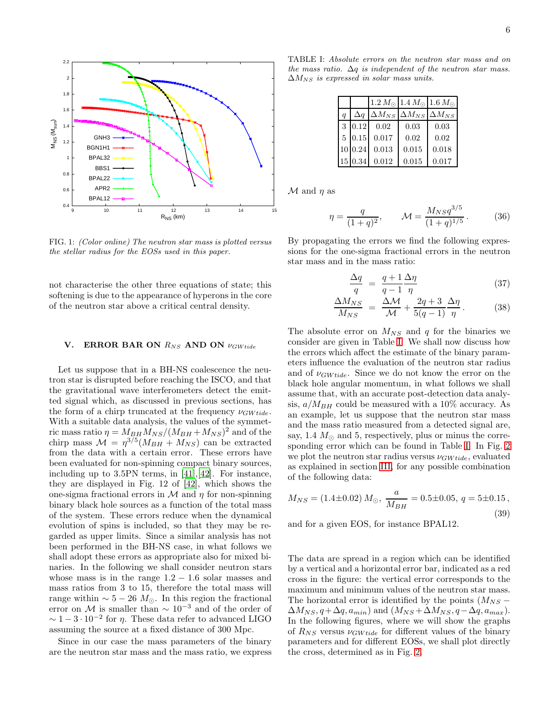

<span id="page-5-1"></span>FIG. 1: (Color online) The neutron star mass is plotted versus the stellar radius for the EOSs used in this paper.

not characterise the other three equations of state; this softening is due to the appearance of hyperons in the core of the neutron star above a critical central density.

## <span id="page-5-0"></span>V. ERROR BAR ON  $R_{NS}$  AND ON  $\nu_{GW tide}$

Let us suppose that in a BH-NS coalescence the neutron star is disrupted before reaching the ISCO, and that the gravitational wave interferometers detect the emitted signal which, as discussed in previous sections, has the form of a chirp truncated at the frequency  $\nu_{GW tide}$ . With a suitable data analysis, the values of the symmetric mass ratio  $\eta = M_{BH} \dot{M}_{NS} / (M_{BH} + M_{NS})^2$  and of the chirp mass  $\mathcal{M} = \eta^{3/5} (M_{BH} + M_{NS})$  can be extracted from the data with a certain error. These errors have been evaluated for non-spinning compact binary sources, including up to 3.5PN terms, in [\[41\]](#page-11-4),[\[42\]](#page-11-5). For instance, they are displayed in Fig. 12 of [\[42](#page-11-5)], which shows the one-sigma fractional errors in  $\mathcal M$  and  $\eta$  for non-spinning binary black hole sources as a function of the total mass of the system. These errors reduce when the dynamical evolution of spins is included, so that they may be regarded as upper limits. Since a similar analysis has not been performed in the BH-NS case, in what follows we shall adopt these errors as appropriate also for mixed binaries. In the following we shall consider neutron stars whose mass is in the range  $1.2 - 1.6$  solar masses and mass ratios from 3 to 15, therefore the total mass will range within  $\sim 5 - 26$  M<sub>☉</sub>. In this region the fractional error on  $\mathcal M$  is smaller than  $\sim 10^{-3}$  and of the order of  $\sim 1-3 \cdot 10^{-2}$  for  $\eta$ . These data refer to advanced LIGO assuming the source at a fixed distance of 300 Mpc.

Since in our case the mass parameters of the binary are the neutron star mass and the mass ratio, we express

TABLE I: Absolute errors on the neutron star mass and on the mass ratio.  $\Delta q$  is independent of the neutron star mass.  $\Delta M_{NS}$  is expressed in solar mass units.

<span id="page-5-2"></span>

|                  |               |                 | $1.2 M_{\odot}$ 1.4 $M_{\odot}$ 1.6 $M_{\odot}$ |                 |
|------------------|---------------|-----------------|-------------------------------------------------|-----------------|
| $\boldsymbol{q}$ | $\Delta q$    | $\Delta M_{NS}$ | $\Delta M_{NS}$                                 | $\Delta M_{NS}$ |
| 3 <sup>1</sup>   | 0.12          | 0.02            | 0.03                                            | 0.03            |
|                  | $5\vert 0.15$ | 0.017           | 0.02                                            | 0.02            |
|                  | 10 0.24       | 0.013           | 0.015                                           | 0.018           |
|                  | 15 0.34       | 0.012           | 0.015                                           | 0.017           |

 $\mathcal M$  and  $\eta$  as

$$
\eta = \frac{q}{(1+q)^2}, \qquad \mathcal{M} = \frac{M_{NS}q^{3/5}}{(1+q)^{1/5}}.\tag{36}
$$

By propagating the errors we find the following expressions for the one-sigma fractional errors in the neutron star mass and in the mass ratio:

$$
\frac{\Delta q}{q} = \frac{q+1}{q-1} \frac{\Delta \eta}{\eta} \tag{37}
$$

$$
\frac{\Delta M_{NS}}{M_{NS}} = \frac{\Delta \mathcal{M}}{\mathcal{M}} + \frac{2q+3}{5(q-1)} \frac{\Delta \eta}{\eta}.
$$
 (38)

The absolute error on  $M_{NS}$  and q for the binaries we consider are given in Table [I.](#page-5-2) We shall now discuss how the errors which affect the estimate of the binary parameters influence the evaluation of the neutron star radius and of  $\nu_{GW tide}$ . Since we do not know the error on the black hole angular momentum, in what follows we shall assume that, with an accurate post-detection data analysis,  $a/M_{BH}$  could be measured with a 10% accuracy. As an example, let us suppose that the neutron star mass and the mass ratio measured from a detected signal are, say, 1.4  $M_{\odot}$  and 5, respectively, plus or minus the corresponding error which can be found in Table [I.](#page-5-2) In Fig. [2](#page-6-1) we plot the neutron star radius versus  $\nu_{GW tide}$ , evaluated as explained in section [III,](#page-3-0) for any possible combination of the following data:

$$
M_{NS} = (1.4 \pm 0.02) M_{\odot}, \frac{a}{M_{BH}} = 0.5 \pm 0.05, q = 5 \pm 0.15,
$$
\n(39)

and for a given EOS, for instance BPAL12.

The data are spread in a region which can be identified by a vertical and a horizontal error bar, indicated as a red cross in the figure: the vertical error corresponds to the maximum and minimum values of the neutron star mass. The horizontal error is identified by the points  $(M_{NS} \Delta M_{NS}, q + \Delta q, a_{min}$ ) and  $(M_{NS} + \Delta M_{NS}, q - \Delta q, a_{max})$ . In the following figures, where we will show the graphs of  $R_{NS}$  versus  $\nu_{GW tide}$  for different values of the binary parameters and for different EOSs, we shall plot directly the cross, determined as in Fig. [2.](#page-6-1)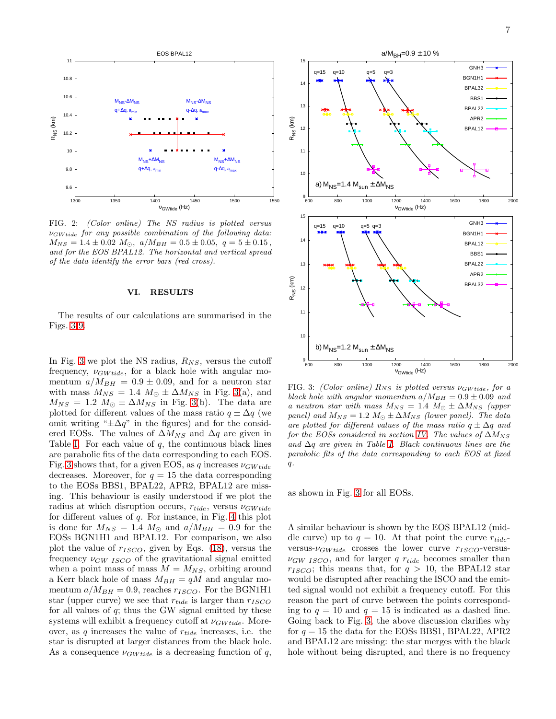

<span id="page-6-1"></span>FIG. 2: (Color online) The NS radius is plotted versus  $\nu_{GW tide}$  for any possible combination of the following data:  $M_{NS} = 1.4 \pm 0.02$   $M_{\odot}$ ,  $a/M_{BH} = 0.5 \pm 0.05$ ,  $q = 5 \pm 0.15$ , and for the EOS BPAL12. The horizontal and vertical spread of the data identify the error bars (red cross).

#### <span id="page-6-0"></span>VI. RESULTS

The results of our calculations are summarised in the Figs. [3-](#page-6-2)[9.](#page-9-0)

In Fig. [3](#page-6-2) we plot the NS radius,  $R_{NS}$ , versus the cutoff frequency,  $\nu_{GW tide}$ , for a black hole with angular momentum  $a/M_{BH} = 0.9 \pm 0.09$ , and for a neutron star with mass  $M_{NS} = 1.4 M_{\odot} \pm \Delta M_{NS}$  in Fig. [3\(](#page-6-2)a), and  $M_{NS} = 1.2 M_{\odot} \pm \Delta M_{NS}$  in Fig. [3\(](#page-6-2)b). The data are plotted for different values of the mass ratio  $q \pm \Delta q$  (we omit writing " $\pm \Delta q$ " in the figures) and for the considered EOSs. The values of  $\Delta M_{NS}$  and  $\Delta q$  are given in Table [I.](#page-5-2) For each value of  $q$ , the continuous black lines are parabolic fits of the data corresponding to each EOS. Fig. [3](#page-6-2) shows that, for a given EOS, as q increases  $\nu_{GW tide}$ decreases. Moreover, for  $q = 15$  the data corresponding to the EOSs BBS1, BPAL22, APR2, BPAL12 are missing. This behaviour is easily understood if we plot the radius at which disruption occurs,  $r_{tide}$ , versus  $\nu_Gw_{tide}$ for different values of  $q$ . For instance, in Fig. [4](#page-7-0) this plot is done for  $M_{NS} = 1.4$   $M_{\odot}$  and  $a/M_{BH} = 0.9$  for the EOSs BGN1H1 and BPAL12. For comparison, we also plot the value of  $r_{ISCO}$ , given by Eqs. [\(18\)](#page-3-1), versus the frequency  $\nu_{GW\ ISCO}$  of the gravitational signal emitted when a point mass of mass  $M = M_{NS}$ , orbiting around a Kerr black hole of mass  $M_{BH} = qM$  and angular momentum  $a/M_{BH} = 0.9$ , reaches  $r_{ISCO}$ . For the BGN1H1 star (upper curve) we see that  $r_{tide}$  is larger than  $r_{ISCO}$ for all values of  $q$ ; thus the GW signal emitted by these systems will exhibit a frequency cutoff at  $\nu_GW_{tide}$ . Moreover, as q increases the value of  $r_{tide}$  increases, i.e. the star is disrupted at larger distances from the black hole. As a consequence  $\nu_{GW tide}$  is a decreasing function of q,



<span id="page-6-2"></span>FIG. 3: (Color online)  $R_{NS}$  is plotted versus  $\nu_{GW tide}$ , for a black hole with angular momentum  $a/M_{BH} = 0.9 \pm 0.09$  and a neutron star with mass  $M_{NS} = 1.4 M_{\odot} \pm \Delta M_{NS}$  (upper panel) and  $M_{NS} = 1.2 M_{\odot} \pm \Delta M_{NS}$  (lower panel). The data are plotted for different values of the mass ratio  $q \pm \Delta q$  and for the EOSs considered in section [IV.](#page-4-0) The values of  $\Delta M_{NS}$ and ∆q are given in Table [I.](#page-5-2) Black continuous lines are the parabolic fits of the data corresponding to each EOS at fixed q.

as shown in Fig. [3](#page-6-2) for all EOSs.

A similar behaviour is shown by the EOS BPAL12 (middle curve) up to  $q = 10$ . At that point the curve  $r_{tide}$ versus- $\nu_{GW tide}$  crosses the lower curve  $r_{ISCO}$ -versus- $\nu_{GW\ ISCO}$ , and for larger q  $r_{tide}$  becomes smaller than  $r_{ISCO}$ ; this means that, for  $q > 10$ , the BPAL12 star would be disrupted after reaching the ISCO and the emitted signal would not exhibit a frequency cutoff. For this reason the part of curve between the points corresponding to  $q = 10$  and  $q = 15$  is indicated as a dashed line. Going back to Fig. [3,](#page-6-2) the above discussion clarifies why for  $q = 15$  the data for the EOSs BBS1, BPAL22, APR2 and BPAL12 are missing: the star merges with the black hole without being disrupted, and there is no frequency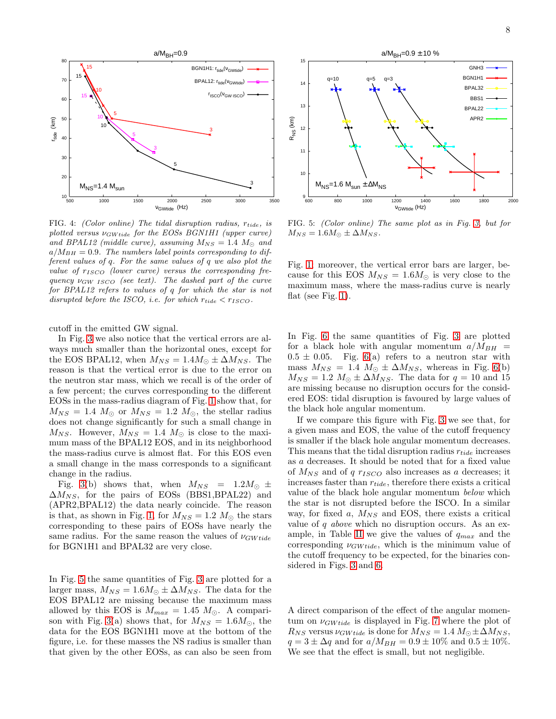

<span id="page-7-0"></span>FIG. 4: (Color online) The tidal disruption radius,  $r_{tide}$ , is plotted versus  $\nu_{GW tide}$  for the EOSs BGN1H1 (upper curve) and BPAL12 (middle curve), assuming  $M_{NS} = 1.4 M_{\odot}$  and  $a/M_{BH} = 0.9$ . The numbers label points corresponding to different values of q. For the same values of q we also plot the value of  $r_{ISCO}$  (lower curve) versus the corresponding frequency  $\nu_{GW}$  isco (see text). The dashed part of the curve for BPAL12 refers to values of q for which the star is not disrupted before the ISCO, i.e. for which  $r_{tide} < r_{ISCO}$ .

cutoff in the emitted GW signal.

In Fig. [3](#page-6-2) we also notice that the vertical errors are always much smaller than the horizontal ones, except for the EOS BPAL12, when  $M_{NS} = 1.4 M_{\odot} \pm \Delta M_{NS}$ . The reason is that the vertical error is due to the error on the neutron star mass, which we recall is of the order of a few percent; the curves corresponding to the different EOSs in the mass-radius diagram of Fig. [1](#page-5-1) show that, for  $M_{NS} = 1.4 M_{\odot}$  or  $M_{NS} = 1.2 M_{\odot}$ , the stellar radius does not change significantly for such a small change in  $M_{NS}$ . However,  $M_{NS} = 1.4 M_{\odot}$  is close to the maximum mass of the BPAL12 EOS, and in its neighborhood the mass-radius curve is almost flat. For this EOS even a small change in the mass corresponds to a significant change in the radius.

Fig. [3\(](#page-6-2)b) shows that, when  $M_{NS}$  = 1.2 $M_{\odot}$   $\pm$  $\Delta M_{NS}$ , for the pairs of EOSs (BBS1, BPAL22) and (APR2,BPAL12) the data nearly coincide. The reason is that, as shown in Fig. [1,](#page-5-1) for  $M_{NS} = 1.2 M_{\odot}$  the stars corresponding to these pairs of EOSs have nearly the same radius. For the same reason the values of  $\nu_{GW tide}$ for BGN1H1 and BPAL32 are very close.

In Fig. [5](#page-7-1) the same quantities of Fig. [3](#page-6-2) are plotted for a larger mass,  $M_{NS} = 1.6 M_{\odot} \pm \Delta M_{NS}$ . The data for the EOS BPAL12 are missing because the maximum mass allowed by this EOS is  $M_{max} = 1.45 M_{\odot}$ . A compari-son with Fig. [3\(](#page-6-2)a) shows that, for  $M_{NS} = 1.6 M_{\odot}$ , the data for the EOS BGN1H1 move at the bottom of the figure, i.e. for these masses the NS radius is smaller than that given by the other EOSs, as can also be seen from



<span id="page-7-1"></span>FIG. 5: (Color online) The same plot as in Fig. [3,](#page-6-2) but for  $M_{NS} = 1.6 M_{\odot} \pm \Delta M_{NS}.$ 

Fig. [1;](#page-5-1) moreover, the vertical error bars are larger, because for this EOS  $M_{NS} = 1.6 M_{\odot}$  is very close to the maximum mass, where the mass-radius curve is nearly flat (see Fig. [1\)](#page-5-1).

In Fig. [6](#page-8-0) the same quantities of Fig. [3](#page-6-2) are plotted for a black hole with angular momentum  $a/M_{BH}$  =  $0.5 \pm 0.05$ . Fig. [6\(](#page-8-0)a) refers to a neutron star with mass  $M_{NS} = 1.4 M_{\odot} \pm \Delta M_{NS}$ , whereas in Fig. [6\(](#page-8-0)b)  $M_{NS} = 1.2 M_{\odot} \pm \Delta M_{NS}$ . The data for  $q = 10$  and 15 are missing because no disruption occurs for the considered EOS: tidal disruption is favoured by large values of the black hole angular momentum.

If we compare this figure with Fig. [3](#page-6-2) we see that, for a given mass and EOS, the value of the cutoff frequency is smaller if the black hole angular momentum decreases. This means that the tidal disruption radius  $r_{tide}$  increases as a decreases. It should be noted that for a fixed value of  $M_{NS}$  and of q  $r_{ISCO}$  also increases as a decreases; it increases faster than  $r_{tide}$ , therefore there exists a critical value of the black hole angular momentum below which the star is not disrupted before the ISCO. In a similar way, for fixed  $a$ ,  $M_{NS}$  and EOS, there exists a critical value of  $q$  above which no disruption occurs. As an ex-ample, in Table [II](#page-8-1) we give the values of  $q_{max}$  and the corresponding  $\nu_{GW tide}$ , which is the minimum value of the cutoff frequency to be expected, for the binaries considered in Figs. [3](#page-6-2) and [6.](#page-8-0)

A direct comparison of the effect of the angular momentum on  $\nu_{GW tide}$  is displayed in Fig. [7](#page-8-2) where the plot of  $R_{NS}$  versus  $\nu_{GW tide}$  is done for  $M_{NS} = 1.4 M_{\odot} \pm \Delta M_{NS}$ ,  $q = 3 \pm \Delta q$  and for  $a/M_{BH} = 0.9 \pm 10\%$  and  $0.5 \pm 10\%$ . We see that the effect is small, but not negligible.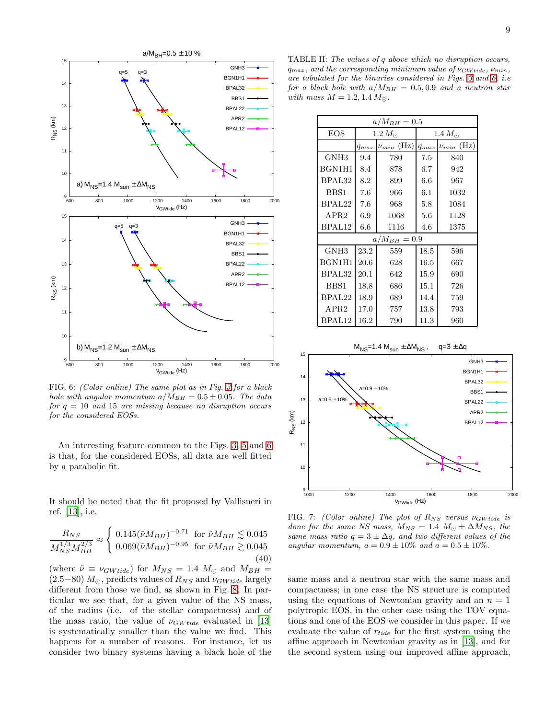

<span id="page-8-0"></span>FIG. 6: (Color online) The same plot as in Fig. [3](#page-6-2) for a black hole with angular momentum  $a/M_{BH} = 0.5 \pm 0.05$ . The data for  $q = 10$  and 15 are missing because no disruption occurs for the considered EOSs.

An interesting feature common to the Figs. [3,](#page-6-2) [5](#page-7-1) and [6](#page-8-0) is that, for the considered EOSs, all data are well fitted by a parabolic fit.

It should be noted that the fit proposed by Vallisneri in ref. [\[13](#page-10-12)], i.e.

<span id="page-8-3"></span>
$$
\frac{R_{NS}}{M_{NS}^{1/3}M_{BH}^{2/3}} \approx \begin{cases} 0.145(\tilde{\nu}M_{BH})^{-0.71} & \text{for } \tilde{\nu}M_{BH} \lesssim 0.045\\ 0.069(\tilde{\nu}M_{BH})^{-0.95} & \text{for } \tilde{\nu}M_{BH} \gtrsim 0.045 \end{cases}
$$
(40)

(where  $\tilde{\nu} \equiv \nu_{GW tide}$ ) for  $M_{NS} = 1.4$   $M_{\odot}$  and  $M_{BH} =$  $(2.5-80)$   $M_{\odot}$ , predicts values of  $R_{NS}$  and  $\nu_{GW tide}$  largely different from those we find, as shown in Fig. [8.](#page-9-1) In particular we see that, for a given value of the NS mass, of the radius (i.e. of the stellar compactness) and of the mass ratio, the value of  $\nu_{GW tide}$  evaluated in [\[13](#page-10-12)] is systematically smaller than the value we find. This happens for a number of reasons. For instance, let us consider two binary systems having a black hole of the

<span id="page-8-1"></span>

| <b>EOS</b>                                                          | $a/M_{BH} = 0.5$<br>$1.2 M_{\odot}$ |                  | 1.4 $M_{\odot}$ |                  |  |  |  |
|---------------------------------------------------------------------|-------------------------------------|------------------|-----------------|------------------|--|--|--|
|                                                                     | $q_{max}$                           | $\nu_{min}$ (Hz) | $q_{max}$       | $\nu_{min}$ (Hz) |  |  |  |
| GNH3                                                                | 9.4                                 | 780              | 7.5             | 840              |  |  |  |
| BGN1H1                                                              | 8.4                                 | 878              | 6.7             | 942              |  |  |  |
| BPAL <sub>32</sub>                                                  | 8.2                                 | 899              | 6.6             | 967              |  |  |  |
| BBS1                                                                | 7.6                                 | 966              | 6.1             | 1032             |  |  |  |
| BPAL <sub>22</sub>                                                  | 7.6                                 | 968              | 5.8             | 1084             |  |  |  |
| APR2                                                                | 6.9                                 | 1068             | 5.6             | 1128             |  |  |  |
| BPAL12                                                              | 6.6                                 | 1116             | 4.6             | 1375             |  |  |  |
| $a/M_{BH}=0.9$                                                      |                                     |                  |                 |                  |  |  |  |
| GNH3                                                                | 23.2                                | 559              | 18.5            | 596              |  |  |  |
| BGN1H1                                                              | 20.6                                | 628              | 16.5            | 667              |  |  |  |
| BPAL <sub>32</sub>                                                  | 20.1                                | 642              | 15.9            | 690              |  |  |  |
| BBS1                                                                | 18.8                                | 686              | 15.1            | 726              |  |  |  |
| BPAI.22                                                             | 18.9                                | 689              | 14.4            | 759              |  |  |  |
| APR2                                                                | 17.0                                | 757              | 13.8            | 793              |  |  |  |
| BPAL12                                                              | 16.2                                | 790              | 11.3            | 960              |  |  |  |
| $q=3 \pm \Delta q$<br>$M_{NS}$ =1.4 $M_{sun}$ $\pm \Delta M_{NS}$ , |                                     |                  |                 |                  |  |  |  |



<span id="page-8-2"></span>FIG. 7: (Color online) The plot of  $R_{NS}$  versus  $\nu_{GW tide}$  is done for the same NS mass,  $M_{NS} = 1.4 M_{\odot} \pm \Delta M_{NS}$ , the same mass ratio  $q = 3 \pm \Delta q$ , and two different values of the angular momentum,  $a = 0.9 \pm 10\%$  and  $a = 0.5 \pm 10\%$ .

same mass and a neutron star with the same mass and compactness; in one case the NS structure is computed using the equations of Newtonian gravity and an  $n = 1$ polytropic EOS, in the other case using the TOV equations and one of the EOS we consider in this paper. If we evaluate the value of  $r_{tide}$  for the first system using the affine approach in Newtonian gravity as in [\[13](#page-10-12)], and for the second system using our improved affine approach,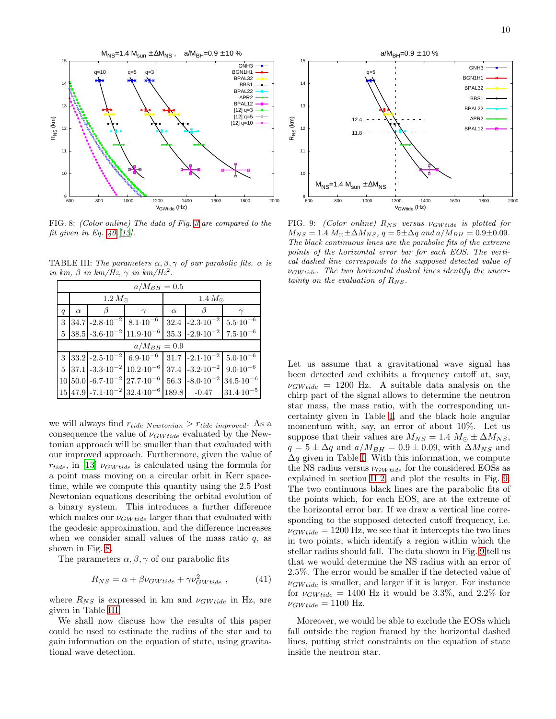

<span id="page-9-1"></span>FIG. 8: (Color online) The data of Fig. [3](#page-6-2) are compared to the fit given in Eq. [40](#page-8-3)  $\left[13\right]$ .

TABLE III: The parameters  $\alpha, \beta, \gamma$  of our parabolic fits.  $\alpha$  is in km,  $\beta$  in km/Hz,  $\gamma$  in km/Hz<sup>2</sup>.

<span id="page-9-2"></span>

|                  | $a/M_{BH} = 0.5$ |                                                   |                                                                                |                 |                                           |                      |  |  |  |  |  |
|------------------|------------------|---------------------------------------------------|--------------------------------------------------------------------------------|-----------------|-------------------------------------------|----------------------|--|--|--|--|--|
|                  |                  | $1.2 M_{\odot}$                                   |                                                                                | $1.4 M_{\odot}$ |                                           |                      |  |  |  |  |  |
| $\boldsymbol{q}$ | $\alpha$         |                                                   |                                                                                | $\alpha$        |                                           |                      |  |  |  |  |  |
| 3                |                  | $34.7$ -2.8·10 <sup>-2</sup> 8.1·10 <sup>-6</sup> |                                                                                |                 | 32.4 $\sim$ -2.3.10 <sup>-2</sup>         | $5.5 \cdot 10^{-6}$  |  |  |  |  |  |
| 5                |                  |                                                   | $38.5$ - 3.6 $\cdot 10^{-2}$ 11.9 $\cdot 10^{-6}$                              |                 | $35.3$ -2.9.10 <sup>-2</sup>              | $7.5 \cdot 10^{-6}$  |  |  |  |  |  |
|                  | $a/M_{BH}=0.9$   |                                                   |                                                                                |                 |                                           |                      |  |  |  |  |  |
| 3                |                  |                                                   | $ 33.2 $ -2.5·10 <sup>-2</sup> 6.9·10 <sup>-6</sup> 31.7 -2.1·10 <sup>-2</sup> |                 |                                           | $5.0 \cdot 10^{-6}$  |  |  |  |  |  |
| 5                |                  |                                                   | $37.1$ -3.3 $\cdot 10^{-2}$ $10.2 \cdot 10^{-6}$ 37.4 -3.2 $\cdot 10^{-2}$     |                 |                                           | $9.0 \cdot 10^{-6}$  |  |  |  |  |  |
| 10               |                  |                                                   | $ 50.0 $ -6.7·10 <sup>-2</sup> $ 27.7 \cdot 10^{-6} $ 56.3                     |                 | $-8.0 \cdot 10^{-2}$ 34.5 $\cdot 10^{-6}$ |                      |  |  |  |  |  |
|                  |                  |                                                   | $15 47.9  - 7.1 \cdot 10^{-2}  32.4 \cdot 10^{-6}  189.8 $                     |                 | $-0.47$                                   | $31.4{\cdot}10^{-5}$ |  |  |  |  |  |

we will always find  $r_{tide\ Newtonian} > r_{tide\ improved}$ . As a consequence the value of  $\nu_{GW tide}$  evaluated by the Newtonian approach will be smaller than that evaluated with our improved approach. Furthermore, given the value of  $r_{tide}$ , in [\[13](#page-10-12)]  $\nu_{GW tide}$  is calculated using the formula for a point mass moving on a circular orbit in Kerr spacetime, while we compute this quantity using the 2.5 Post Newtonian equations describing the orbital evolution of a binary system. This introduces a further difference which makes our  $\nu_{GW tide}$  larger than that evaluated with the geodesic approximation, and the difference increases when we consider small values of the mass ratio  $q$ , as shown in Fig. [8.](#page-9-1)

The parameters  $\alpha, \beta, \gamma$  of our parabolic fits

$$
R_{NS} = \alpha + \beta \nu_{GWtide} + \gamma \nu_{GWtide}^2 \,, \tag{41}
$$

where  $R_{NS}$  is expressed in km and  $\nu_{GW tide}$  in Hz, are given in Table [III.](#page-9-2)

We shall now discuss how the results of this paper could be used to estimate the radius of the star and to gain information on the equation of state, using gravitational wave detection.



<span id="page-9-0"></span>FIG. 9: (Color online)  $R_{NS}$  versus  $\nu_{GW tide}$  is plotted for  $M_{NS} = 1.4 M_{\odot} \pm \Delta M_{NS}$ ,  $q = 5 \pm \Delta q$  and  $a/M_{BH} = 0.9 \pm 0.09$ . The black continuous lines are the parabolic fits of the extreme points of the horizontal error bar for each EOS. The vertical dashed line corresponds to the supposed detected value of  $\nu_{GW tide}$ . The two horizontal dashed lines identify the uncertainty on the evaluation of  $R_{NS}$ .

Let us assume that a gravitational wave signal has been detected and exhibits a frequency cutoff at, say,  $\nu_{GW tide} = 1200$  Hz. A suitable data analysis on the chirp part of the signal allows to determine the neutron star mass, the mass ratio, with the corresponding uncertainty given in Table [I,](#page-5-2) and the black hole angular momentum with, say, an error of about 10%. Let us suppose that their values are  $M_{NS} = 1.4 M_{\odot} \pm \Delta M_{NS}$ ,  $q = 5 \pm \Delta q$  and  $a/M_{BH} = 0.9 \pm 0.09$ , with  $\Delta M_{NS}$  and  $\Delta q$  given in Table [I.](#page-5-2) With this information, we compute the NS radius versus  $\nu_{GW tide}$  for the considered EOSs as explained in section [II 2,](#page-2-6) and plot the results in Fig. [9.](#page-9-0) The two continuous black lines are the parabolic fits of the points which, for each EOS, are at the extreme of the horizontal error bar. If we draw a vertical line corresponding to the supposed detected cutoff frequency, i.e.  $\nu_{GW tide} = 1200$  Hz, we see that it intercepts the two lines in two points, which identify a region within which the stellar radius should fall. The data shown in Fig. [9](#page-9-0) tell us that we would determine the NS radius with an error of 2.5%. The error would be smaller if the detected value of  $\nu_{GW tide}$  is smaller, and larger if it is larger. For instance for  $\nu_{GW tide} = 1400$  Hz it would be 3.3%, and 2.2% for  $\nu_{GW tide} = 1100$  Hz.

Moreover, we would be able to exclude the EOSs which fall outside the region framed by the horizontal dashed lines, putting strict constraints on the equation of state inside the neutron star.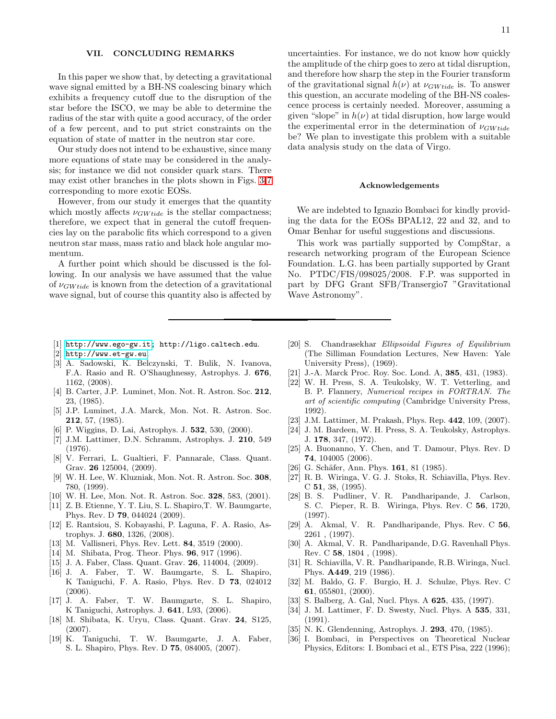### <span id="page-10-19"></span>VII. CONCLUDING REMARKS

In this paper we show that, by detecting a gravitational wave signal emitted by a BH-NS coalescing binary which exhibits a frequency cutoff due to the disruption of the star before the ISCO, we may be able to determine the radius of the star with quite a good accuracy, of the order of a few percent, and to put strict constraints on the equation of state of matter in the neutron star core.

Our study does not intend to be exhaustive, since many more equations of state may be considered in the analysis; for instance we did not consider quark stars. There may exist other branches in the plots shown in Figs. [3-](#page-6-2)[7](#page-8-2) corresponding to more exotic EOSs.

However, from our study it emerges that the quantity which mostly affects  $\nu_{GW tide}$  is the stellar compactness; therefore, we expect that in general the cutoff frequencies lay on the parabolic fits which correspond to a given neutron star mass, mass ratio and black hole angular momentum.

A further point which should be discussed is the following. In our analysis we have assumed that the value of  $\nu_{GW tide}$  is known from the detection of a gravitational wave signal, but of course this quantity also is affected by

- <span id="page-10-0"></span>[1] [http://www.ego-gw.it;](http://www.ego-gw.it) http://ligo.caltech.edu.
- <span id="page-10-1"></span>[2] <http://www.et-gw.eu>.
- <span id="page-10-2"></span>[3] A. Sadowski, K. Belczynski, T. Bulik, N. Ivanova, F.A. Rasio and R. O'Shaughnessy, Astrophys. J. 676, 1162, (2008).
- <span id="page-10-3"></span>[4] B. Carter, J.P. Luminet, Mon. Not. R. Astron. Soc. 212, 23, (1985).
- <span id="page-10-4"></span>[5] J.P. Luminet, J.A. Marck, Mon. Not. R. Astron. Soc. 212, 57, (1985).
- <span id="page-10-5"></span>[6] P. Wiggins, D. Lai, Astrophys. J. 532, 530, (2000).
- <span id="page-10-6"></span>[7] J.M. Lattimer, D.N. Schramm, Astrophys. J. 210, 549 (1976).
- <span id="page-10-7"></span>[8] V. Ferrari, L. Gualtieri, F. Pannarale, Class. Quant. Grav. 26 125004, (2009).
- <span id="page-10-8"></span>[9] W. H. Lee, W. Kluzniak, Mon. Not. R. Astron. Soc. 308, 780, (1999).
- <span id="page-10-9"></span>[10] W. H. Lee, Mon. Not. R. Astron. Soc. 328, 583, (2001).
- <span id="page-10-10"></span>[11] Z. B. Etienne, Y. T. Liu, S. L. Shapiro,T. W. Baumgarte, Phys. Rev. D 79, 044024 (2009).
- <span id="page-10-11"></span>[12] E. Rantsiou, S. Kobayashi, P. Laguna, F. A. Rasio, Astrophys. J. 680, 1326, (2008).
- <span id="page-10-12"></span>[13] M. Vallisneri, Phys. Rev. Lett. 84, 3519 (2000).
- <span id="page-10-13"></span>[14] M. Shibata, Prog. Theor. Phys. **96**, 917 (1996).
- <span id="page-10-14"></span>[15] J. A. Faber, Class. Quant. Grav. **26**, 114004, (2009).
- <span id="page-10-15"></span>[16] J. A. Faber, T. W. Baumgarte, S. L. Shapiro, K Taniguchi, F. A. Rasio, Phys. Rev. D 73, 024012 (2006).
- <span id="page-10-16"></span>[17] J. A. Faber, T. W. Baumgarte, S. L. Shapiro, K Taniguchi, Astrophys. J. 641, L93, (2006).
- <span id="page-10-17"></span>[18] M. Shibata, K. Uryu, Class. Quant. Grav. 24, S125, (2007).
- <span id="page-10-18"></span>[19] K. Taniguchi, T. W. Baumgarte, J. A. Faber, S. L. Shapiro, Phys. Rev. D 75, 084005, (2007).

uncertainties. For instance, we do not know how quickly the amplitude of the chirp goes to zero at tidal disruption, and therefore how sharp the step in the Fourier transform of the gravitational signal  $h(\nu)$  at  $\nu_{GW tide}$  is. To answer this question, an accurate modeling of the BH-NS coalescence process is certainly needed. Moreover, assuming a given "slope" in  $h(\nu)$  at tidal disruption, how large would the experimental error in the determination of  $\nu_{GW tide}$ be? We plan to investigate this problem with a suitable data analysis study on the data of Virgo.

### Acknowledgements

We are indebted to Ignazio Bombaci for kindly providing the data for the EOSs BPAL12, 22 and 32, and to Omar Benhar for useful suggestions and discussions.

This work was partially supported by CompStar, a research networking program of the European Science Foundation. L.G. has been partially supported by Grant No. PTDC/FIS/098025/2008. F.P. was supported in part by DFG Grant SFB/Transergio7 "Gravitational Wave Astronomy".

- <span id="page-10-20"></span>[20] S. Chandrasekhar Ellipsoidal Figures of Equilibrium (The Silliman Foundation Lectures, New Haven: Yale University Press), (1969).
- <span id="page-10-21"></span>[21] J.-A. Marck Proc. Roy. Soc. Lond. A, 385, 431, (1983).
- <span id="page-10-22"></span>[22] W. H. Press, S. A. Teukolsky, W. T. Vetterling, and B. P. Flannery, Numerical recipes in FORTRAN. The art of scientific computing (Cambridge University Press, 1992).
- <span id="page-10-23"></span>[23] J.M. Lattimer, M. Prakash, Phys. Rep. 442, 109, (2007).
- <span id="page-10-24"></span>[24] J. M. Bardeen, W. H. Press, S. A. Teukolsky, Astrophys. J. 178, 347, (1972).
- <span id="page-10-25"></span>[25] A. Buonanno, Y. Chen, and T. Damour, Phys. Rev. D 74, 104005 (2006).
- <span id="page-10-26"></span>[26] G. Schäfer, Ann. Phys. **161**, 81 (1985).
- <span id="page-10-27"></span>[27] R. B. Wiringa, V. G. J. Stoks, R. Schiavilla, Phys. Rev. C 51, 38, (1995).
- <span id="page-10-28"></span>[28] B. S. Pudliner, V. R. Pandharipande, J. Carlson, S. C. Pieper, R. B. Wiringa, Phys. Rev. C 56, 1720, (1997).
- <span id="page-10-29"></span>[29] A. Akmal, V. R. Pandharipande, Phys. Rev. C 56, 2261 , (1997).
- <span id="page-10-30"></span>[30] A. Akmal, V. R. Pandharipande, D.G. Ravenhall Phys. Rev. C 58, 1804 , (1998).
- <span id="page-10-31"></span>[31] R. Schiavilla, V. R. Pandharipande, R.B. Wiringa, Nucl. Phys. A449, 219 (1986).
- <span id="page-10-32"></span>[32] M. Baldo, G. F. Burgio, H. J. Schulze, Phys. Rev. C 61, 055801, (2000).
- <span id="page-10-33"></span>[33] S. Balberg, A. Gal, Nucl. Phys. A 625, 435, (1997).
- <span id="page-10-34"></span>[34] J. M. Lattimer, F. D. Swesty, Nucl. Phys. A 535, 331, (1991).
- <span id="page-10-35"></span>[35] N. K. Glendenning, Astrophys. J. 293, 470, (1985).
- <span id="page-10-36"></span>[36] I. Bombaci, in Perspectives on Theoretical Nuclear Physics, Editors: I. Bombaci et al., ETS Pisa, 222 (1996);